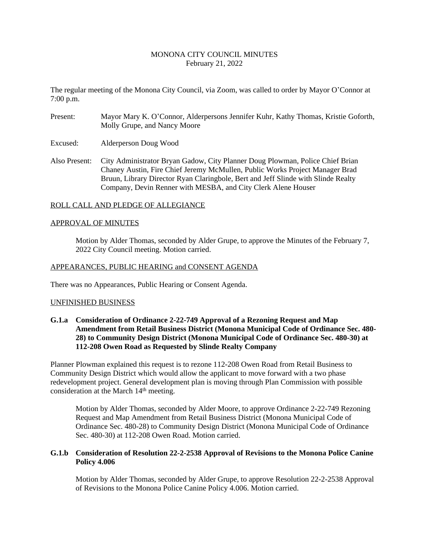# MONONA CITY COUNCIL MINUTES February 21, 2022

The regular meeting of the Monona City Council, via Zoom, was called to order by Mayor O'Connor at 7:00 p.m.

- Present: Mayor Mary K. O'Connor, Alderpersons Jennifer Kuhr, Kathy Thomas, Kristie Goforth, Molly Grupe, and Nancy Moore
- Excused: Alderperson Doug Wood
- Also Present: City Administrator Bryan Gadow, City Planner Doug Plowman, Police Chief Brian Chaney Austin, Fire Chief Jeremy McMullen, Public Works Project Manager Brad Bruun, Library Director Ryan Claringbole, Bert and Jeff Slinde with Slinde Realty Company, Devin Renner with MESBA, and City Clerk Alene Houser

## ROLL CALL AND PLEDGE OF ALLEGIANCE

## APPROVAL OF MINUTES

Motion by Alder Thomas, seconded by Alder Grupe, to approve the Minutes of the February 7, 2022 City Council meeting. Motion carried.

## APPEARANCES, PUBLIC HEARING and CONSENT AGENDA

There was no Appearances, Public Hearing or Consent Agenda.

#### UNFINISHED BUSINESS

**G.1.a Consideration of Ordinance 2-22-749 Approval of a Rezoning Request and Map Amendment from Retail Business District (Monona Municipal Code of Ordinance Sec. 480- 28) to Community Design District (Monona Municipal Code of Ordinance Sec. 480-30) at 112-208 Owen Road as Requested by Slinde Realty Company**

Planner Plowman explained this request is to rezone 112-208 Owen Road from Retail Business to Community Design District which would allow the applicant to move forward with a two phase redevelopment project. General development plan is moving through Plan Commission with possible consideration at the March 14<sup>th</sup> meeting.

Motion by Alder Thomas, seconded by Alder Moore, to approve Ordinance 2-22-749 Rezoning Request and Map Amendment from Retail Business District (Monona Municipal Code of Ordinance Sec. 480-28) to Community Design District (Monona Municipal Code of Ordinance Sec. 480-30) at 112-208 Owen Road. Motion carried.

# **G.1.b Consideration of Resolution 22-2-2538 Approval of Revisions to the Monona Police Canine Policy 4.006**

Motion by Alder Thomas, seconded by Alder Grupe, to approve Resolution 22-2-2538 Approval of Revisions to the Monona Police Canine Policy 4.006. Motion carried.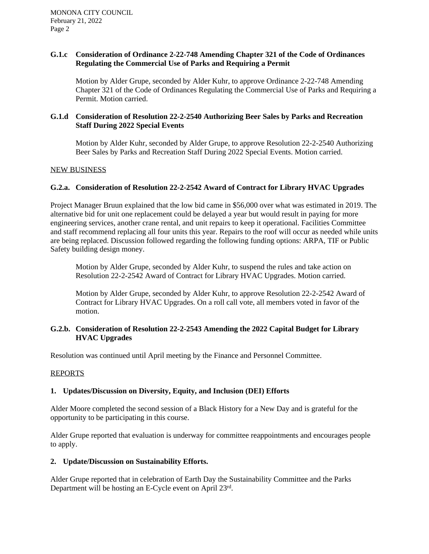# **G.1.c Consideration of Ordinance 2-22-748 Amending Chapter 321 of the Code of Ordinances Regulating the Commercial Use of Parks and Requiring a Permit**

Motion by Alder Grupe, seconded by Alder Kuhr, to approve Ordinance 2-22-748 Amending Chapter 321 of the Code of Ordinances Regulating the Commercial Use of Parks and Requiring a Permit. Motion carried.

# **G.1.d Consideration of Resolution 22-2-2540 Authorizing Beer Sales by Parks and Recreation Staff During 2022 Special Events**

Motion by Alder Kuhr, seconded by Alder Grupe, to approve Resolution 22-2-2540 Authorizing Beer Sales by Parks and Recreation Staff During 2022 Special Events. Motion carried.

## NEW BUSINESS

## **G.2.a. Consideration of Resolution 22-2-2542 Award of Contract for Library HVAC Upgrades**

Project Manager Bruun explained that the low bid came in \$56,000 over what was estimated in 2019. The alternative bid for unit one replacement could be delayed a year but would result in paying for more engineering services, another crane rental, and unit repairs to keep it operational. Facilities Committee and staff recommend replacing all four units this year. Repairs to the roof will occur as needed while units are being replaced. Discussion followed regarding the following funding options: ARPA, TIF or Public Safety building design money.

Motion by Alder Grupe, seconded by Alder Kuhr, to suspend the rules and take action on Resolution 22-2-2542 Award of Contract for Library HVAC Upgrades. Motion carried.

Motion by Alder Grupe, seconded by Alder Kuhr, to approve Resolution 22-2-2542 Award of Contract for Library HVAC Upgrades. On a roll call vote, all members voted in favor of the motion.

# **G.2.b. Consideration of Resolution 22-2-2543 Amending the 2022 Capital Budget for Library HVAC Upgrades**

Resolution was continued until April meeting by the Finance and Personnel Committee.

#### REPORTS

# **1. Updates/Discussion on Diversity, Equity, and Inclusion (DEI) Efforts**

Alder Moore completed the second session of a Black History for a New Day and is grateful for the opportunity to be participating in this course.

Alder Grupe reported that evaluation is underway for committee reappointments and encourages people to apply.

#### **2. Update/Discussion on Sustainability Efforts.**

Alder Grupe reported that in celebration of Earth Day the Sustainability Committee and the Parks Department will be hosting an E-Cycle event on April 23rd .